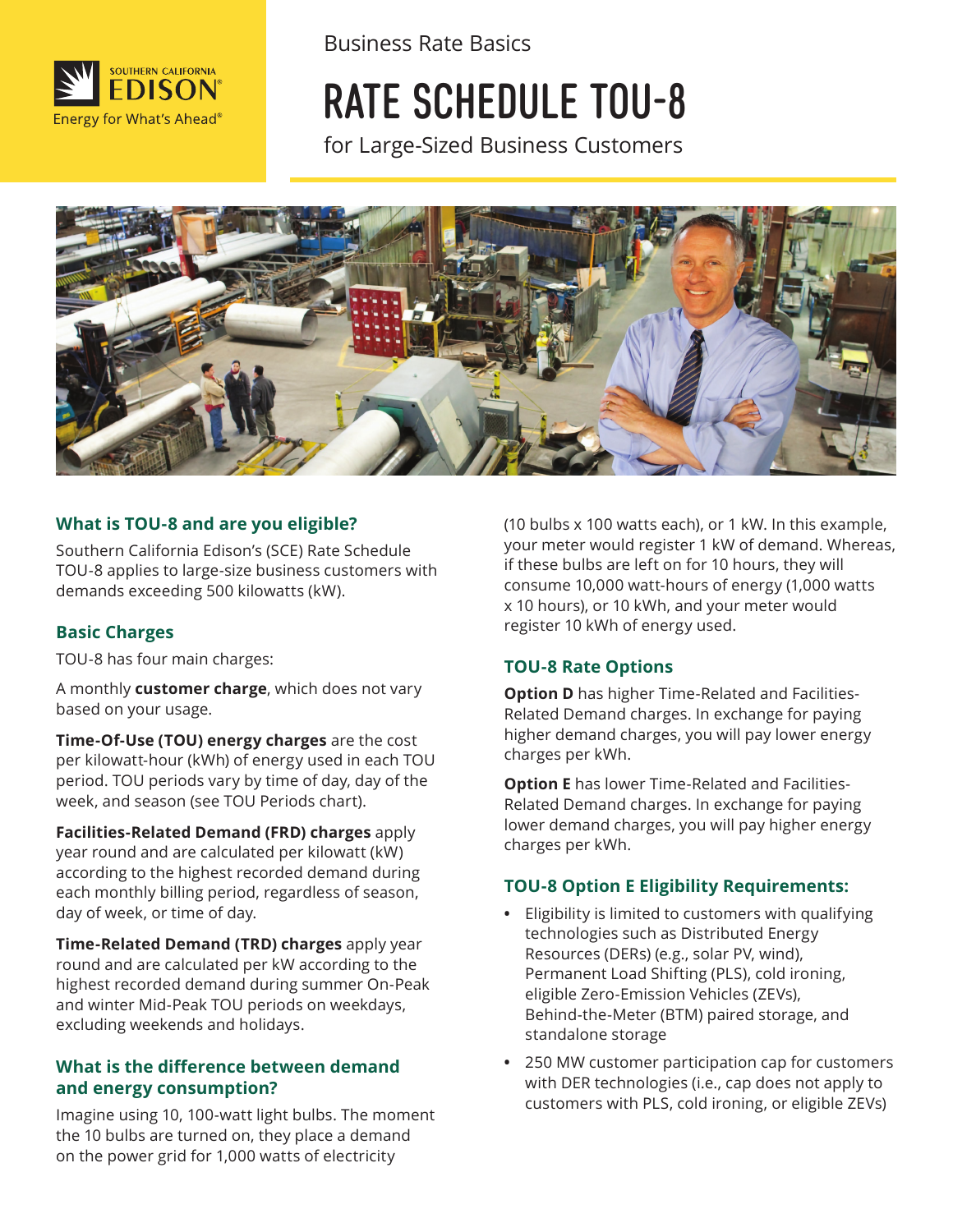

Business Rate Basics

# RATE SCHEDULE TOU-8

for Large-Sized Business Customers



#### **What is TOU-8 and are you eligible?**

Southern California Edison's (SCE) Rate Schedule TOU-8 applies to large-size business customers with demands exceeding 500 kilowatts (kW).

#### **Basic Charges**

TOU-8 has four main charges:

A monthly **customer charge**, which does not vary based on your usage.

**Time-Of-Use (TOU) energy charges** are the cost per kilowatt-hour (kWh) of energy used in each TOU period. TOU periods vary by time of day, day of the week, and season (see TOU Periods chart).

**Facilities-Related Demand (FRD) charges** apply year round and are calculated per kilowatt (kW) according to the highest recorded demand during each monthly billing period, regardless of season, day of week, or time of day.

**Time-Related Demand (TRD) charges** apply year round and are calculated per kW according to the highest recorded demand during summer On-Peak and winter Mid-Peak TOU periods on weekdays, excluding weekends and holidays.

#### **What is the difference between demand and energy consumption?**

Imagine using 10, 100-watt light bulbs. The moment the 10 bulbs are turned on, they place a demand on the power grid for 1,000 watts of electricity

(10 bulbs x 100 watts each), or 1 kW. In this example, your meter would register 1 kW of demand. Whereas, if these bulbs are left on for 10 hours, they will consume 10,000 watt-hours of energy (1,000 watts x 10 hours), or 10 kWh, and your meter would register 10 kWh of energy used.

#### **TOU-8 Rate Options**

**Option D** has higher Time-Related and Facilities-Related Demand charges. In exchange for paying higher demand charges, you will pay lower energy charges per kWh.

**Option E** has lower Time-Related and Facilities-Related Demand charges. In exchange for paying lower demand charges, you will pay higher energy charges per kWh.

#### **TOU-8 Option E Eligibility Requirements:**

- Eligibility is limited to customers with qualifying technologies such as Distributed Energy Resources (DERs) (e.g., solar PV, wind), Permanent Load Shifting (PLS), cold ironing, eligible Zero-Emission Vehicles (ZEVs), Behind-the-Meter (BTM) paired storage, and standalone storage
- 250 MW customer participation cap for customers with DER technologies (i.e., cap does not apply to customers with PLS, cold ironing, or eligible ZEVs)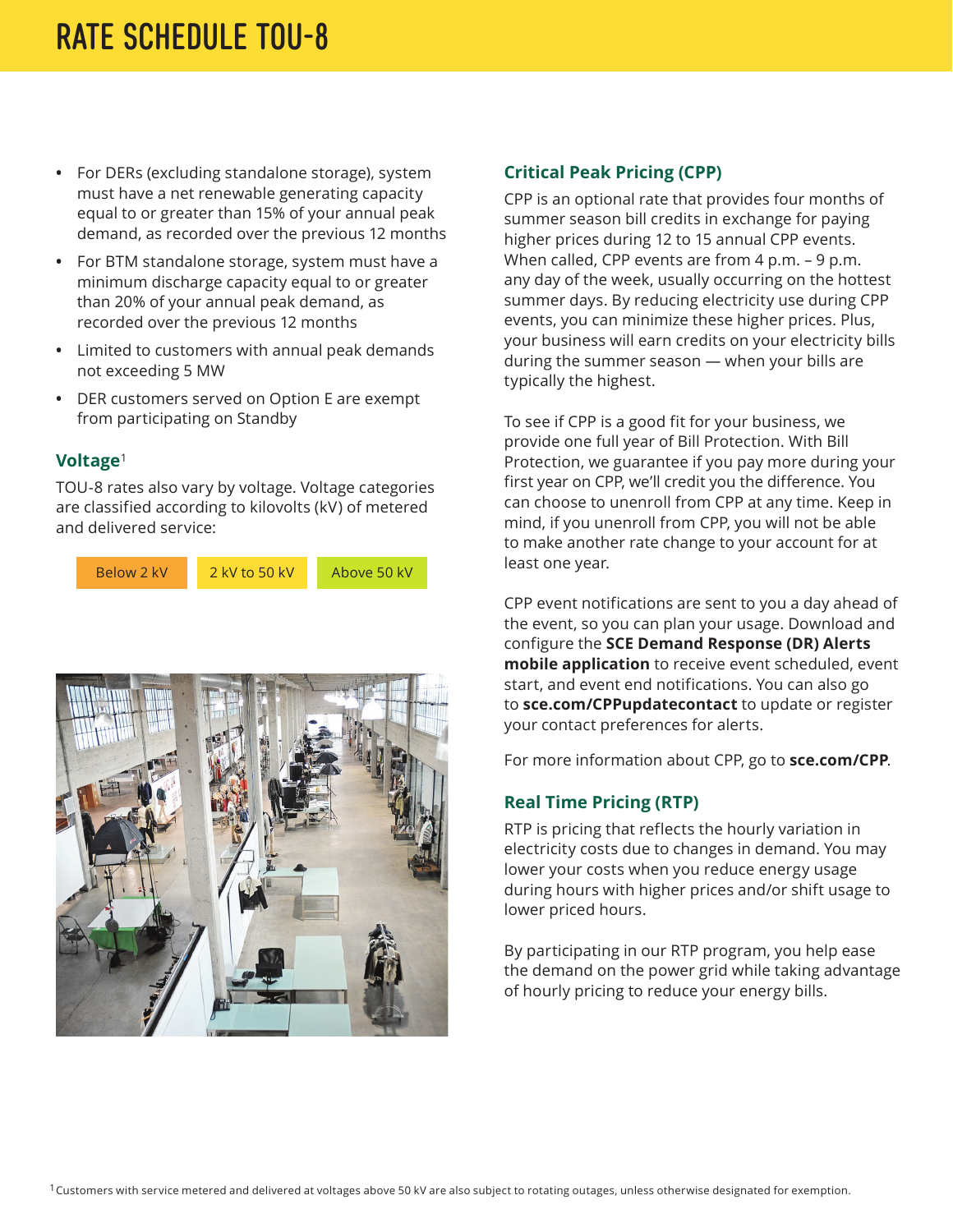- For DERs (excluding standalone storage), system must have a net renewable generating capacity equal to or greater than 15% of your annual peak demand, as recorded over the previous 12 months
- For BTM standalone storage, system must have a minimum discharge capacity equal to or greater than 20% of your annual peak demand, as recorded over the previous 12 months
- Limited to customers with annual peak demands not exceeding 5 MW
- DER customers served on Option E are exempt from participating on Standby

#### **Voltage**<sup>1</sup>

TOU-8 rates also vary by voltage. Voltage categories are classified according to kilovolts (kV) of metered and delivered service:





#### **Critical Peak Pricing (CPP)**

CPP is an optional rate that provides four months of summer season bill credits in exchange for paying higher prices during 12 to 15 annual CPP events. When called, CPP events are from 4 p.m. - 9 p.m. any day of the week, usually occurring on the hottest summer days. By reducing electricity use during CPP events, you can minimize these higher prices. Plus, your business will earn credits on your electricity bills during the summer season — when your bills are typically the highest.

least one year. To see if CPP is a good fit for your business, we provide one full year of Bill Protection. With Bill Protection, we guarantee if you pay more during your first year on CPP, we'll credit you the difference. You can choose to unenroll from CPP at any time. Keep in mind, if you unenroll from CPP, you will not be able to make another rate change to your account for at

CPP event notifications are sent to you a day ahead of the event, so you can plan your usage. Download and configure the **[SCE Demand Response \(DR\) Alerts](https://www.sce.com/business/savings-incentives/demand-response/demand-response-mobile-app?ecid=van_drwebsitealerts)  [mobile application](https://www.sce.com/business/savings-incentives/demand-response/demand-response-mobile-app?ecid=van_drwebsitealerts)** to receive event scheduled, event start, and event end notifications. You can also go to **[sce.com/CPPupdatecontact](http://sce.com/CPPupdatecontact)** to update or register your contact preferences for alerts.

For more information about CPP, go to **[sce.com/CPP](http://www.sce.com/CPP)**.

#### **Real Time Pricing (RTP)**

RTP is pricing that reflects the hourly variation in electricity costs due to changes in demand. You may lower your costs when you reduce energy usage during hours with higher prices and/or shift usage to lower priced hours.

By participating in our RTP program, you help ease the demand on the power grid while taking advantage of hourly pricing to reduce your energy bills.